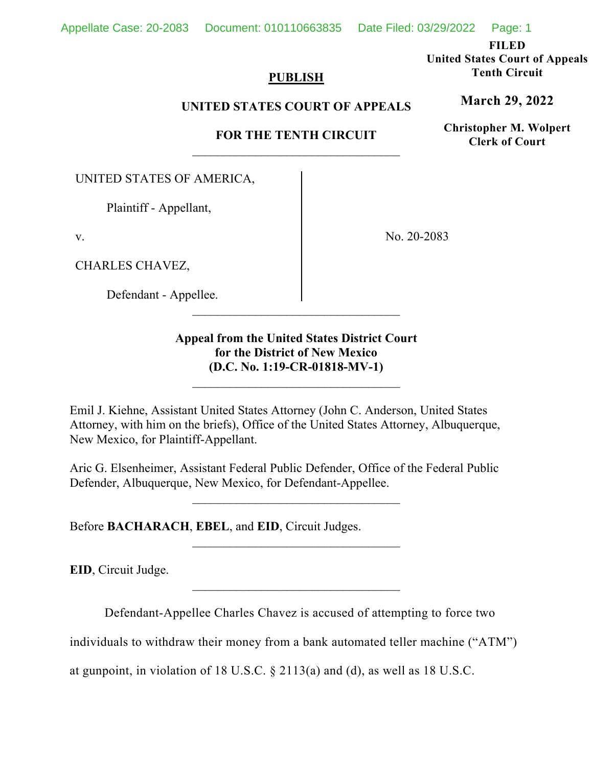**FILED**

**United States Court of Appeals Tenth Circuit**

**March 29, 2022**

**Christopher M. Wolpert Clerk of Court**

## **PUBLISH**

## **UNITED STATES COURT OF APPEALS**

# **FOR THE TENTH CIRCUIT** \_\_\_\_\_\_\_\_\_\_\_\_\_\_\_\_\_\_\_\_\_\_\_\_\_\_\_\_\_\_\_\_\_

UNITED STATES OF AMERICA,

Plaintiff - Appellant,

v.

CHARLES CHAVEZ,

Defendant - Appellee.

No. 20-2083

# **Appeal from the United States District Court for the District of New Mexico (D.C. No. 1:19-CR-01818-MV-1)**

\_\_\_\_\_\_\_\_\_\_\_\_\_\_\_\_\_\_\_\_\_\_\_\_\_\_\_\_\_\_\_\_\_

\_\_\_\_\_\_\_\_\_\_\_\_\_\_\_\_\_\_\_\_\_\_\_\_\_\_\_\_\_\_\_\_\_

Emil J. Kiehne, Assistant United States Attorney (John C. Anderson, United States Attorney, with him on the briefs), Office of the United States Attorney, Albuquerque, New Mexico, for Plaintiff-Appellant.

Aric G. Elsenheimer, Assistant Federal Public Defender, Office of the Federal Public Defender, Albuquerque, New Mexico, for Defendant-Appellee.

\_\_\_\_\_\_\_\_\_\_\_\_\_\_\_\_\_\_\_\_\_\_\_\_\_\_\_\_\_\_\_\_\_

 $\overline{\phantom{a}}$  , where  $\overline{\phantom{a}}$  , where  $\overline{\phantom{a}}$  , where  $\overline{\phantom{a}}$ 

\_\_\_\_\_\_\_\_\_\_\_\_\_\_\_\_\_\_\_\_\_\_\_\_\_\_\_\_\_\_\_\_\_

Before **BACHARACH**, **EBEL**, and **EID**, Circuit Judges.

**EID**, Circuit Judge.

Defendant-Appellee Charles Chavez is accused of attempting to force two

individuals to withdraw their money from a bank automated teller machine ("ATM")

at gunpoint, in violation of 18 U.S.C. § 2113(a) and (d), as well as 18 U.S.C.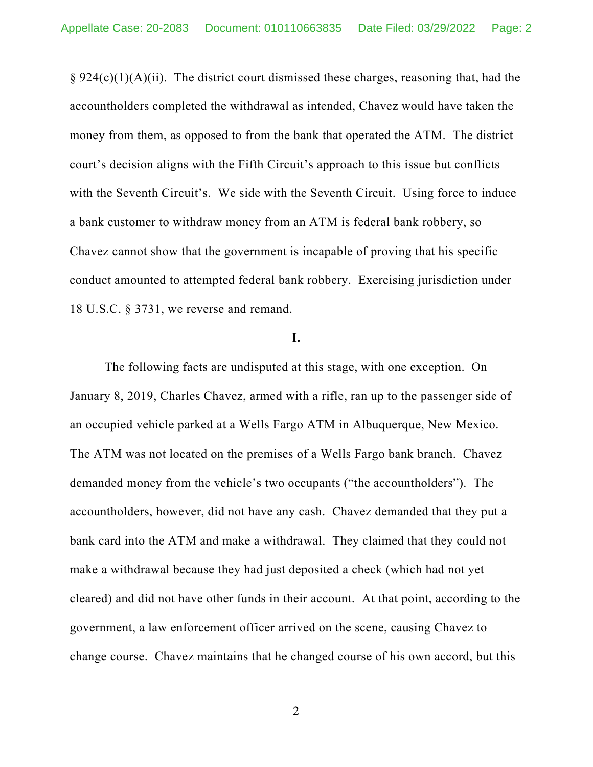$\S 924(c)(1)(A)(ii)$ . The district court dismissed these charges, reasoning that, had the accountholders completed the withdrawal as intended, Chavez would have taken the money from them, as opposed to from the bank that operated the ATM. The district court's decision aligns with the Fifth Circuit's approach to this issue but conflicts with the Seventh Circuit's. We side with the Seventh Circuit. Using force to induce a bank customer to withdraw money from an ATM is federal bank robbery, so Chavez cannot show that the government is incapable of proving that his specific conduct amounted to attempted federal bank robbery. Exercising jurisdiction under 18 U.S.C. § 3731, we reverse and remand.

#### **I.**

The following facts are undisputed at this stage, with one exception. On January 8, 2019, Charles Chavez, armed with a rifle, ran up to the passenger side of an occupied vehicle parked at a Wells Fargo ATM in Albuquerque, New Mexico. The ATM was not located on the premises of a Wells Fargo bank branch. Chavez demanded money from the vehicle's two occupants ("the accountholders"). The accountholders, however, did not have any cash. Chavez demanded that they put a bank card into the ATM and make a withdrawal. They claimed that they could not make a withdrawal because they had just deposited a check (which had not yet cleared) and did not have other funds in their account. At that point, according to the government, a law enforcement officer arrived on the scene, causing Chavez to change course. Chavez maintains that he changed course of his own accord, but this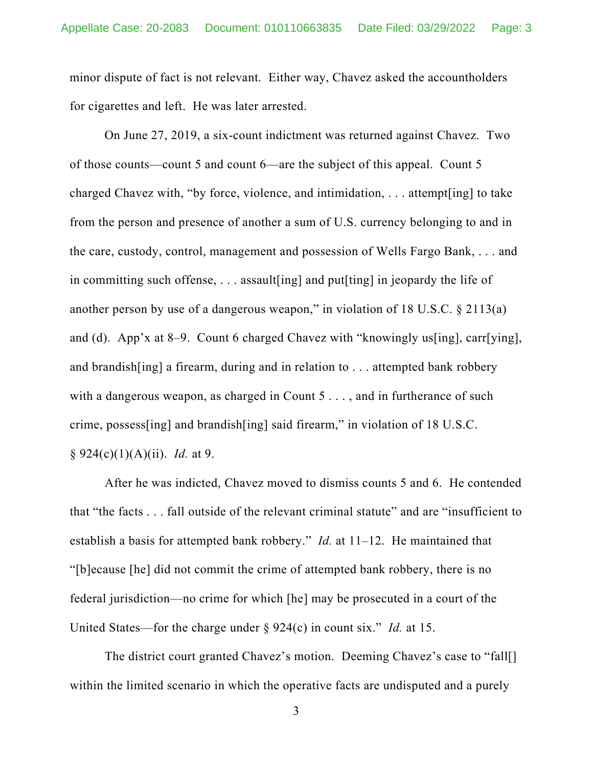minor dispute of fact is not relevant. Either way, Chavez asked the accountholders for cigarettes and left. He was later arrested.

On June 27, 2019, a six-count indictment was returned against Chavez. Two of those counts—count 5 and count 6—are the subject of this appeal. Count 5 charged Chavez with, "by force, violence, and intimidation, . . . attempt[ing] to take from the person and presence of another a sum of U.S. currency belonging to and in the care, custody, control, management and possession of Wells Fargo Bank, . . . and in committing such offense, . . . assault[ing] and put[ting] in jeopardy the life of another person by use of a dangerous weapon," in violation of  $18$  U.S.C.  $\S$  2113(a) and (d). App'x at 8–9. Count 6 charged Chavez with "knowingly us[ing], carr[ying], and brandish[ing] a firearm, during and in relation to . . . attempted bank robbery with a dangerous weapon, as charged in Count 5..., and in furtherance of such crime, possess[ing] and brandish[ing] said firearm," in violation of 18 U.S.C. § 924(c)(1)(A)(ii). *Id.* at 9.

After he was indicted, Chavez moved to dismiss counts 5 and 6. He contended that "the facts . . . fall outside of the relevant criminal statute" and are "insufficient to establish a basis for attempted bank robbery." *Id.* at 11–12. He maintained that "[b]ecause [he] did not commit the crime of attempted bank robbery, there is no federal jurisdiction—no crime for which [he] may be prosecuted in a court of the United States—for the charge under § 924(c) in count six." *Id.* at 15.

The district court granted Chavez's motion. Deeming Chavez's case to "fall[] within the limited scenario in which the operative facts are undisputed and a purely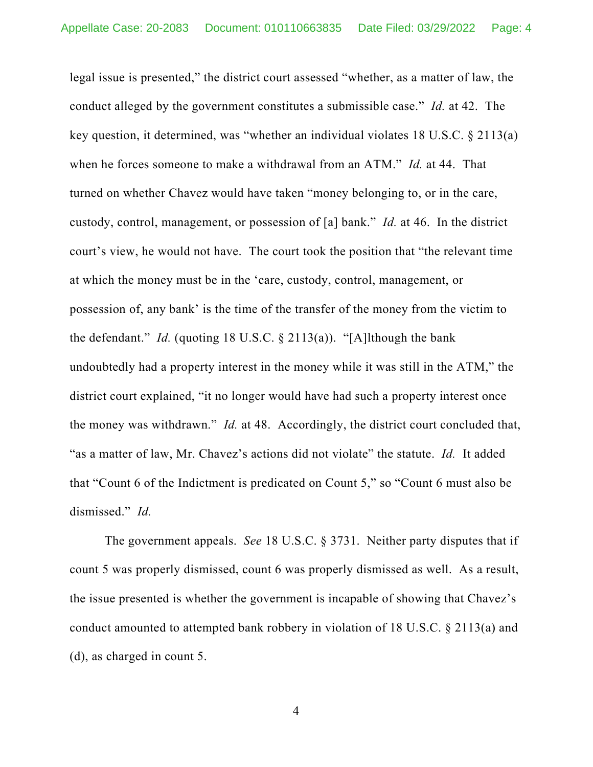legal issue is presented," the district court assessed "whether, as a matter of law, the conduct alleged by the government constitutes a submissible case." *Id.* at 42. The key question, it determined, was "whether an individual violates 18 U.S.C. § 2113(a) when he forces someone to make a withdrawal from an ATM." *Id.* at 44. That turned on whether Chavez would have taken "money belonging to, or in the care, custody, control, management, or possession of [a] bank." *Id.* at 46. In the district court's view, he would not have. The court took the position that "the relevant time at which the money must be in the 'care, custody, control, management, or possession of, any bank' is the time of the transfer of the money from the victim to the defendant." *Id.* (quoting 18 U.S.C. § 2113(a)). "[A]lthough the bank undoubtedly had a property interest in the money while it was still in the ATM," the district court explained, "it no longer would have had such a property interest once the money was withdrawn." *Id.* at 48. Accordingly, the district court concluded that, "as a matter of law, Mr. Chavez's actions did not violate" the statute. *Id.* It added that "Count 6 of the Indictment is predicated on Count 5," so "Count 6 must also be dismissed." *Id.*

The government appeals. *See* 18 U.S.C. § 3731. Neither party disputes that if count 5 was properly dismissed, count 6 was properly dismissed as well. As a result, the issue presented is whether the government is incapable of showing that Chavez's conduct amounted to attempted bank robbery in violation of 18 U.S.C. § 2113(a) and (d), as charged in count 5.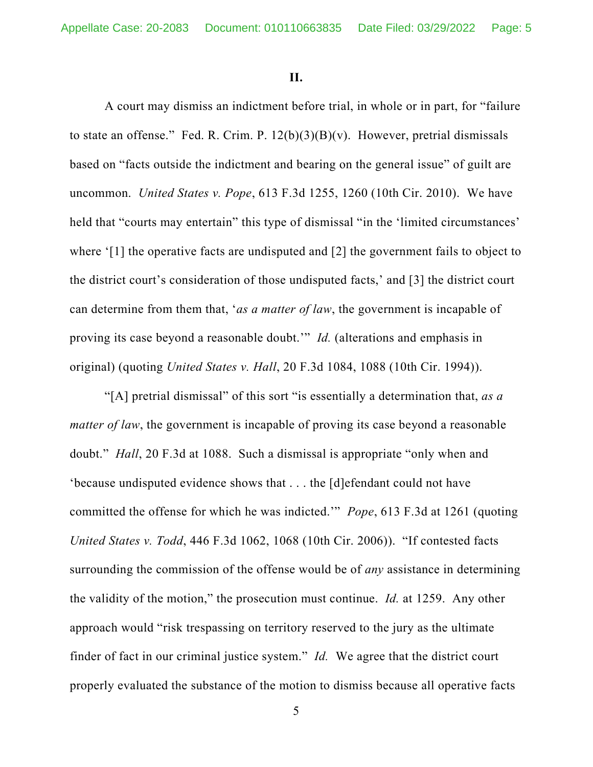**II.**

A court may dismiss an indictment before trial, in whole or in part, for "failure to state an offense." Fed. R. Crim. P.  $12(b)(3)(B)(v)$ . However, pretrial dismissals based on "facts outside the indictment and bearing on the general issue" of guilt are uncommon. *United States v. Pope*, 613 F.3d 1255, 1260 (10th Cir. 2010). We have held that "courts may entertain" this type of dismissal "in the 'limited circumstances' where '[1] the operative facts are undisputed and [2] the government fails to object to the district court's consideration of those undisputed facts,' and [3] the district court can determine from them that, '*as a matter of law*, the government is incapable of proving its case beyond a reasonable doubt.'" *Id.* (alterations and emphasis in original) (quoting *United States v. Hall*, 20 F.3d 1084, 1088 (10th Cir. 1994)).

"[A] pretrial dismissal" of this sort "is essentially a determination that, *as a matter of law*, the government is incapable of proving its case beyond a reasonable doubt." *Hall*, 20 F.3d at 1088. Such a dismissal is appropriate "only when and 'because undisputed evidence shows that . . . the [d]efendant could not have committed the offense for which he was indicted.'" *Pope*, 613 F.3d at 1261 (quoting *United States v. Todd*, 446 F.3d 1062, 1068 (10th Cir. 2006)). "If contested facts surrounding the commission of the offense would be of *any* assistance in determining the validity of the motion," the prosecution must continue. *Id.* at 1259. Any other approach would "risk trespassing on territory reserved to the jury as the ultimate finder of fact in our criminal justice system." *Id.* We agree that the district court properly evaluated the substance of the motion to dismiss because all operative facts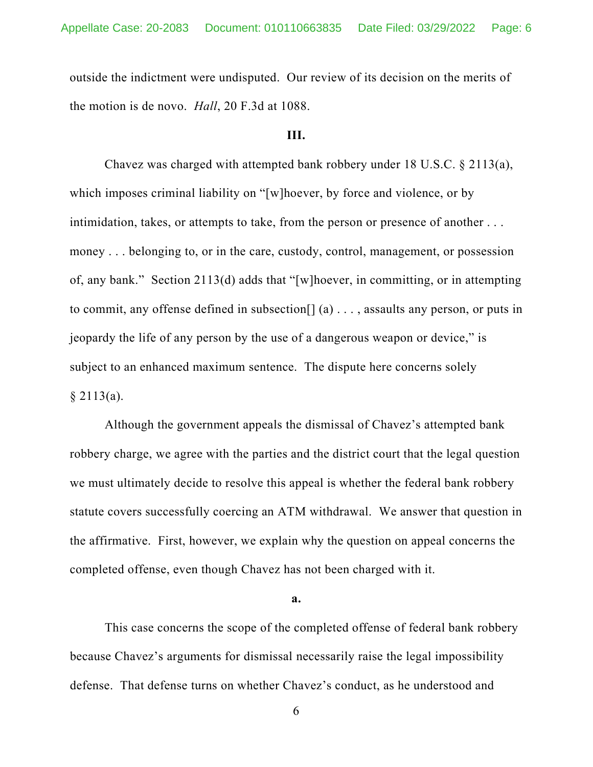outside the indictment were undisputed. Our review of its decision on the merits of the motion is de novo. *Hall*, 20 F.3d at 1088.

### **III.**

Chavez was charged with attempted bank robbery under 18 U.S.C. § 2113(a), which imposes criminal liability on "[w]hoever, by force and violence, or by intimidation, takes, or attempts to take, from the person or presence of another . . . money . . . belonging to, or in the care, custody, control, management, or possession of, any bank." Section 2113(d) adds that "[w]hoever, in committing, or in attempting to commit, any offense defined in subsection  $[ (a) \dots$ , assaults any person, or puts in jeopardy the life of any person by the use of a dangerous weapon or device," is subject to an enhanced maximum sentence. The dispute here concerns solely  $§$  2113(a).

Although the government appeals the dismissal of Chavez's attempted bank robbery charge, we agree with the parties and the district court that the legal question we must ultimately decide to resolve this appeal is whether the federal bank robbery statute covers successfully coercing an ATM withdrawal. We answer that question in the affirmative. First, however, we explain why the question on appeal concerns the completed offense, even though Chavez has not been charged with it.

#### **a.**

This case concerns the scope of the completed offense of federal bank robbery because Chavez's arguments for dismissal necessarily raise the legal impossibility defense. That defense turns on whether Chavez's conduct, as he understood and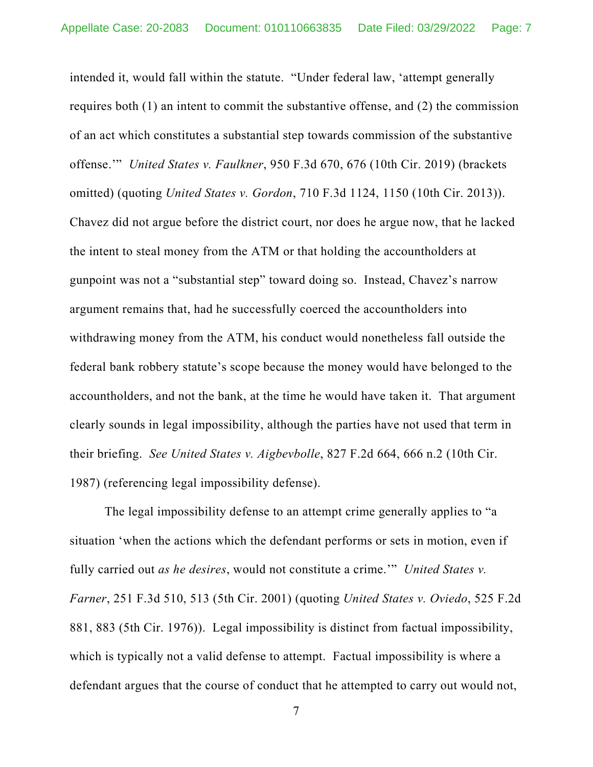intended it, would fall within the statute. "Under federal law, 'attempt generally requires both (1) an intent to commit the substantive offense, and (2) the commission of an act which constitutes a substantial step towards commission of the substantive offense.'" *United States v. Faulkner*, 950 F.3d 670, 676 (10th Cir. 2019) (brackets omitted) (quoting *United States v. Gordon*, 710 F.3d 1124, 1150 (10th Cir. 2013)). Chavez did not argue before the district court, nor does he argue now, that he lacked the intent to steal money from the ATM or that holding the accountholders at gunpoint was not a "substantial step" toward doing so. Instead, Chavez's narrow argument remains that, had he successfully coerced the accountholders into withdrawing money from the ATM, his conduct would nonetheless fall outside the federal bank robbery statute's scope because the money would have belonged to the accountholders, and not the bank, at the time he would have taken it. That argument clearly sounds in legal impossibility, although the parties have not used that term in their briefing. *See United States v. Aigbevbolle*, 827 F.2d 664, 666 n.2 (10th Cir. 1987) (referencing legal impossibility defense).

The legal impossibility defense to an attempt crime generally applies to "a situation 'when the actions which the defendant performs or sets in motion, even if fully carried out *as he desires*, would not constitute a crime.'" *United States v. Farner*, 251 F.3d 510, 513 (5th Cir. 2001) (quoting *United States v. Oviedo*, 525 F.2d 881, 883 (5th Cir. 1976)). Legal impossibility is distinct from factual impossibility, which is typically not a valid defense to attempt. Factual impossibility is where a defendant argues that the course of conduct that he attempted to carry out would not,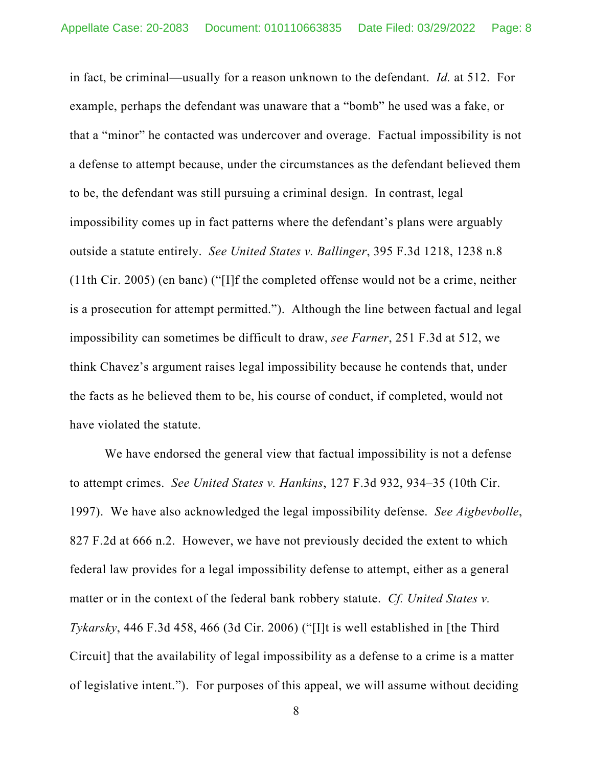in fact, be criminal—usually for a reason unknown to the defendant. *Id.* at 512. For example, perhaps the defendant was unaware that a "bomb" he used was a fake, or that a "minor" he contacted was undercover and overage. Factual impossibility is not a defense to attempt because, under the circumstances as the defendant believed them to be, the defendant was still pursuing a criminal design. In contrast, legal impossibility comes up in fact patterns where the defendant's plans were arguably outside a statute entirely. *See United States v. Ballinger*, 395 F.3d 1218, 1238 n.8 (11th Cir. 2005) (en banc) ("[I]f the completed offense would not be a crime, neither is a prosecution for attempt permitted."). Although the line between factual and legal impossibility can sometimes be difficult to draw, *see Farner*, 251 F.3d at 512, we think Chavez's argument raises legal impossibility because he contends that, under the facts as he believed them to be, his course of conduct, if completed, would not have violated the statute.

We have endorsed the general view that factual impossibility is not a defense to attempt crimes. *See United States v. Hankins*, 127 F.3d 932, 934–35 (10th Cir. 1997). We have also acknowledged the legal impossibility defense. *See Aigbevbolle*, 827 F.2d at 666 n.2. However, we have not previously decided the extent to which federal law provides for a legal impossibility defense to attempt, either as a general matter or in the context of the federal bank robbery statute. *Cf. United States v. Tykarsky*, 446 F.3d 458, 466 (3d Cir. 2006) ("[I]t is well established in [the Third Circuit] that the availability of legal impossibility as a defense to a crime is a matter of legislative intent."). For purposes of this appeal, we will assume without deciding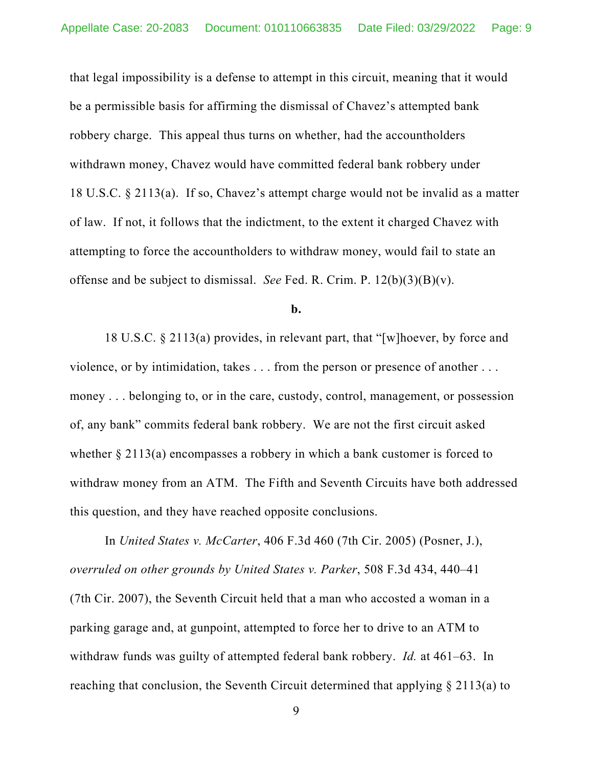that legal impossibility is a defense to attempt in this circuit, meaning that it would be a permissible basis for affirming the dismissal of Chavez's attempted bank robbery charge. This appeal thus turns on whether, had the accountholders withdrawn money, Chavez would have committed federal bank robbery under 18 U.S.C. § 2113(a). If so, Chavez's attempt charge would not be invalid as a matter of law. If not, it follows that the indictment, to the extent it charged Chavez with attempting to force the accountholders to withdraw money, would fail to state an offense and be subject to dismissal. *See* Fed. R. Crim. P. 12(b)(3)(B)(v).

**b.**

18 U.S.C. § 2113(a) provides, in relevant part, that "[w]hoever, by force and violence, or by intimidation, takes . . . from the person or presence of another . . . money . . . belonging to, or in the care, custody, control, management, or possession of, any bank" commits federal bank robbery. We are not the first circuit asked whether  $\S 2113(a)$  encompasses a robbery in which a bank customer is forced to withdraw money from an ATM. The Fifth and Seventh Circuits have both addressed this question, and they have reached opposite conclusions.

In *United States v. McCarter*, 406 F.3d 460 (7th Cir. 2005) (Posner, J.), *overruled on other grounds by United States v. Parker*, 508 F.3d 434, 440–41 (7th Cir. 2007), the Seventh Circuit held that a man who accosted a woman in a parking garage and, at gunpoint, attempted to force her to drive to an ATM to withdraw funds was guilty of attempted federal bank robbery. *Id.* at 461–63. In reaching that conclusion, the Seventh Circuit determined that applying § 2113(a) to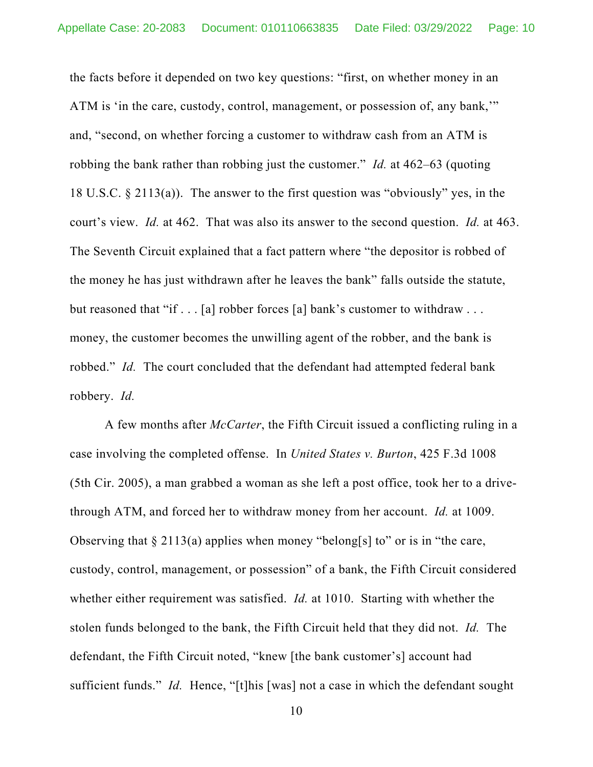the facts before it depended on two key questions: "first, on whether money in an ATM is 'in the care, custody, control, management, or possession of, any bank,'" and, "second, on whether forcing a customer to withdraw cash from an ATM is robbing the bank rather than robbing just the customer." *Id.* at 462–63 (quoting 18 U.S.C. § 2113(a)). The answer to the first question was "obviously" yes, in the court's view. *Id.* at 462. That was also its answer to the second question. *Id.* at 463. The Seventh Circuit explained that a fact pattern where "the depositor is robbed of the money he has just withdrawn after he leaves the bank" falls outside the statute, but reasoned that "if . . . [a] robber forces [a] bank's customer to withdraw . . . money, the customer becomes the unwilling agent of the robber, and the bank is robbed." *Id.* The court concluded that the defendant had attempted federal bank robbery. *Id.*

A few months after *McCarter*, the Fifth Circuit issued a conflicting ruling in a case involving the completed offense. In *United States v. Burton*, 425 F.3d 1008 (5th Cir. 2005), a man grabbed a woman as she left a post office, took her to a drivethrough ATM, and forced her to withdraw money from her account. *Id.* at 1009. Observing that  $\S 2113(a)$  applies when money "belong[s] to" or is in "the care, custody, control, management, or possession" of a bank, the Fifth Circuit considered whether either requirement was satisfied. *Id.* at 1010. Starting with whether the stolen funds belonged to the bank, the Fifth Circuit held that they did not. *Id.* The defendant, the Fifth Circuit noted, "knew [the bank customer's] account had sufficient funds." *Id.* Hence, "[t]his [was] not a case in which the defendant sought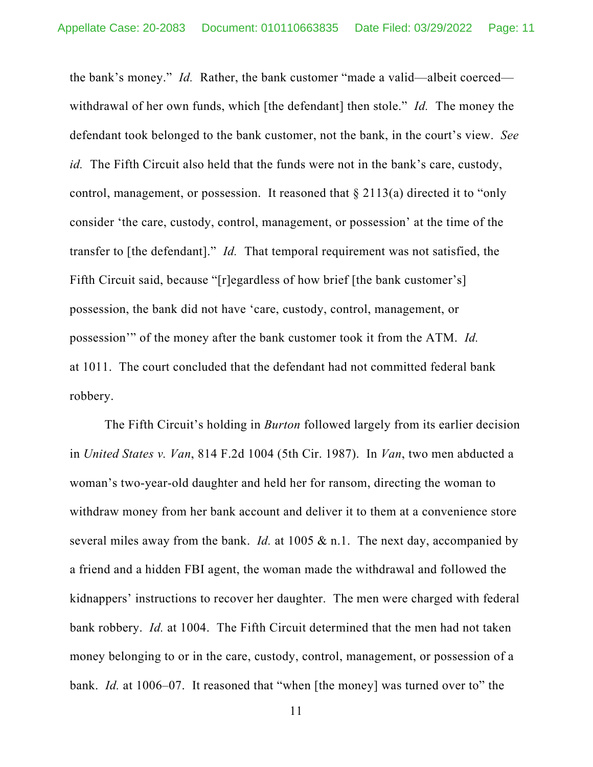the bank's money." *Id.* Rather, the bank customer "made a valid—albeit coerced withdrawal of her own funds, which [the defendant] then stole." *Id.* The money the defendant took belonged to the bank customer, not the bank, in the court's view. *See id.* The Fifth Circuit also held that the funds were not in the bank's care, custody, control, management, or possession. It reasoned that § 2113(a) directed it to "only consider 'the care, custody, control, management, or possession' at the time of the transfer to [the defendant]." *Id.* That temporal requirement was not satisfied, the Fifth Circuit said, because "[r]egardless of how brief [the bank customer's] possession, the bank did not have 'care, custody, control, management, or possession'" of the money after the bank customer took it from the ATM. *Id.* at 1011. The court concluded that the defendant had not committed federal bank robbery.

The Fifth Circuit's holding in *Burton* followed largely from its earlier decision in *United States v. Van*, 814 F.2d 1004 (5th Cir. 1987). In *Van*, two men abducted a woman's two-year-old daughter and held her for ransom, directing the woman to withdraw money from her bank account and deliver it to them at a convenience store several miles away from the bank. *Id.* at 1005 & n.1. The next day, accompanied by a friend and a hidden FBI agent, the woman made the withdrawal and followed the kidnappers' instructions to recover her daughter. The men were charged with federal bank robbery. *Id.* at 1004. The Fifth Circuit determined that the men had not taken money belonging to or in the care, custody, control, management, or possession of a bank. *Id.* at 1006–07. It reasoned that "when [the money] was turned over to" the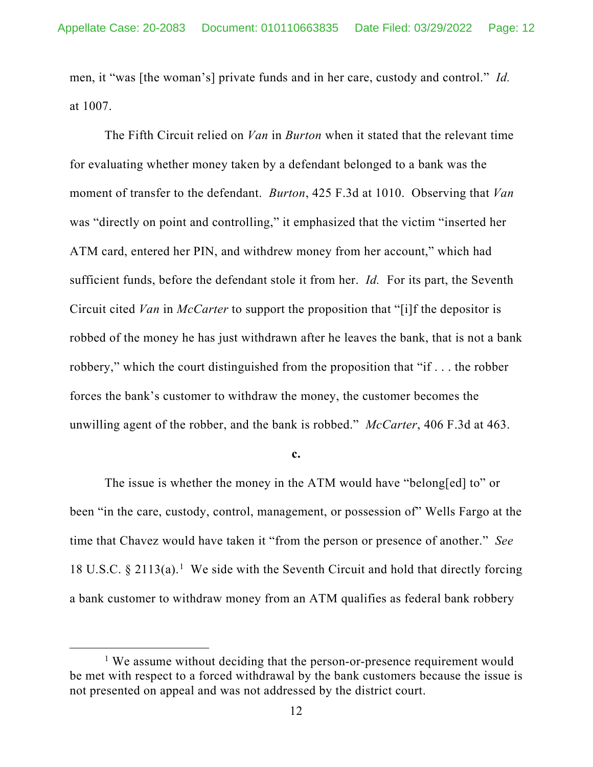men, it "was [the woman's] private funds and in her care, custody and control." *Id.* at 1007.

The Fifth Circuit relied on *Van* in *Burton* when it stated that the relevant time for evaluating whether money taken by a defendant belonged to a bank was the moment of transfer to the defendant. *Burton*, 425 F.3d at 1010. Observing that *Van* was "directly on point and controlling," it emphasized that the victim "inserted her ATM card, entered her PIN, and withdrew money from her account," which had sufficient funds, before the defendant stole it from her. *Id.* For its part, the Seventh Circuit cited *Van* in *McCarter* to support the proposition that "[i]f the depositor is robbed of the money he has just withdrawn after he leaves the bank, that is not a bank robbery," which the court distinguished from the proposition that "if . . . the robber forces the bank's customer to withdraw the money, the customer becomes the unwilling agent of the robber, and the bank is robbed." *McCarter*, 406 F.3d at 463.

#### **c.**

The issue is whether the money in the ATM would have "belong[ed] to" or been "in the care, custody, control, management, or possession of" Wells Fargo at the time that Chavez would have taken it "from the person or presence of another." *See* [1](#page-11-0)8 U.S.C.  $\S 2113(a)$ .<sup>1</sup> We side with the Seventh Circuit and hold that directly forcing a bank customer to withdraw money from an ATM qualifies as federal bank robbery

<span id="page-11-0"></span><sup>&</sup>lt;sup>1</sup> We assume without deciding that the person-or-presence requirement would be met with respect to a forced withdrawal by the bank customers because the issue is not presented on appeal and was not addressed by the district court.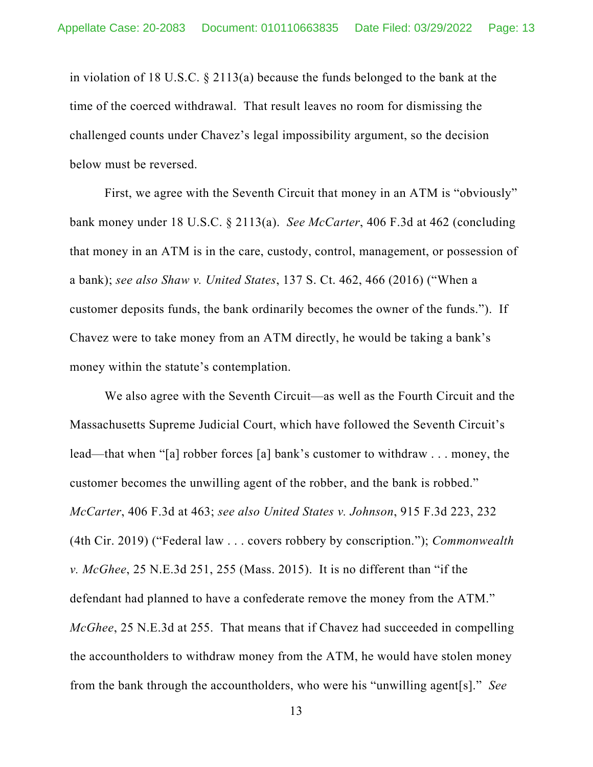in violation of 18 U.S.C. § 2113(a) because the funds belonged to the bank at the time of the coerced withdrawal. That result leaves no room for dismissing the challenged counts under Chavez's legal impossibility argument, so the decision below must be reversed.

First, we agree with the Seventh Circuit that money in an ATM is "obviously" bank money under 18 U.S.C. § 2113(a). *See McCarter*, 406 F.3d at 462 (concluding that money in an ATM is in the care, custody, control, management, or possession of a bank); *see also Shaw v. United States*, 137 S. Ct. 462, 466 (2016) ("When a customer deposits funds, the bank ordinarily becomes the owner of the funds."). If Chavez were to take money from an ATM directly, he would be taking a bank's money within the statute's contemplation.

We also agree with the Seventh Circuit—as well as the Fourth Circuit and the Massachusetts Supreme Judicial Court, which have followed the Seventh Circuit's lead—that when "[a] robber forces [a] bank's customer to withdraw . . . money, the customer becomes the unwilling agent of the robber, and the bank is robbed." *McCarter*, 406 F.3d at 463; *see also United States v. Johnson*, 915 F.3d 223, 232 (4th Cir. 2019) ("Federal law . . . covers robbery by conscription."); *Commonwealth v. McGhee*, 25 N.E.3d 251, 255 (Mass. 2015). It is no different than "if the defendant had planned to have a confederate remove the money from the ATM." *McGhee*, 25 N.E.3d at 255. That means that if Chavez had succeeded in compelling the accountholders to withdraw money from the ATM, he would have stolen money from the bank through the accountholders, who were his "unwilling agent[s]." *See*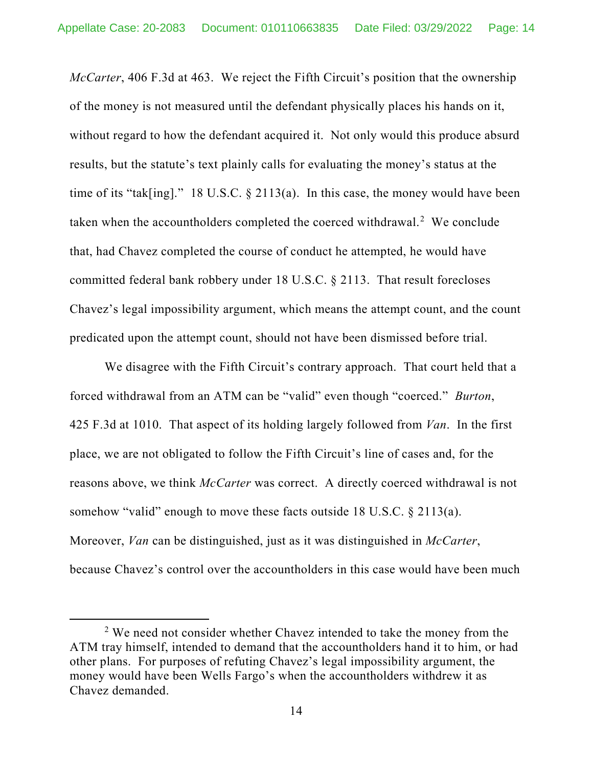*McCarter*, 406 F.3d at 463. We reject the Fifth Circuit's position that the ownership of the money is not measured until the defendant physically places his hands on it, without regard to how the defendant acquired it. Not only would this produce absurd results, but the statute's text plainly calls for evaluating the money's status at the time of its "tak[ing]." 18 U.S.C. § 2113(a). In this case, the money would have been taken when the accountholders completed the coerced withdrawal.<sup>[2](#page-13-0)</sup> We conclude that, had Chavez completed the course of conduct he attempted, he would have committed federal bank robbery under 18 U.S.C. § 2113. That result forecloses Chavez's legal impossibility argument, which means the attempt count, and the count predicated upon the attempt count, should not have been dismissed before trial.

We disagree with the Fifth Circuit's contrary approach. That court held that a forced withdrawal from an ATM can be "valid" even though "coerced." *Burton*, 425 F.3d at 1010. That aspect of its holding largely followed from *Van*. In the first place, we are not obligated to follow the Fifth Circuit's line of cases and, for the reasons above, we think *McCarter* was correct. A directly coerced withdrawal is not somehow "valid" enough to move these facts outside 18 U.S.C. § 2113(a). Moreover, *Van* can be distinguished, just as it was distinguished in *McCarter*, because Chavez's control over the accountholders in this case would have been much

<span id="page-13-0"></span> $2$  We need not consider whether Chavez intended to take the money from the ATM tray himself, intended to demand that the accountholders hand it to him, or had other plans. For purposes of refuting Chavez's legal impossibility argument, the money would have been Wells Fargo's when the accountholders withdrew it as Chavez demanded.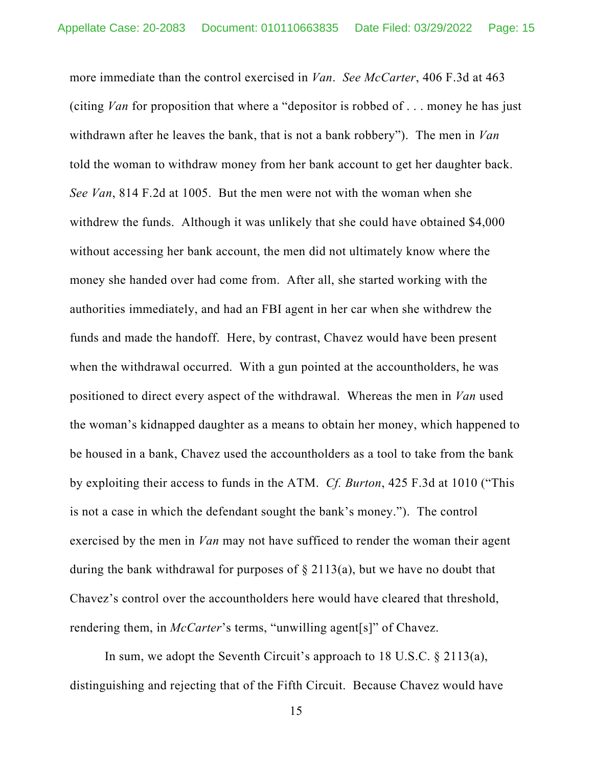more immediate than the control exercised in *Van*. *See McCarter*, 406 F.3d at 463 (citing *Van* for proposition that where a "depositor is robbed of . . . money he has just withdrawn after he leaves the bank, that is not a bank robbery"). The men in *Van* told the woman to withdraw money from her bank account to get her daughter back. *See Van*, 814 F.2d at 1005. But the men were not with the woman when she withdrew the funds. Although it was unlikely that she could have obtained \$4,000 without accessing her bank account, the men did not ultimately know where the money she handed over had come from. After all, she started working with the authorities immediately, and had an FBI agent in her car when she withdrew the funds and made the handoff. Here, by contrast, Chavez would have been present when the withdrawal occurred. With a gun pointed at the accountholders, he was positioned to direct every aspect of the withdrawal. Whereas the men in *Van* used the woman's kidnapped daughter as a means to obtain her money, which happened to be housed in a bank, Chavez used the accountholders as a tool to take from the bank by exploiting their access to funds in the ATM. *Cf. Burton*, 425 F.3d at 1010 ("This is not a case in which the defendant sought the bank's money."). The control exercised by the men in *Van* may not have sufficed to render the woman their agent during the bank withdrawal for purposes of § 2113(a), but we have no doubt that Chavez's control over the accountholders here would have cleared that threshold, rendering them, in *McCarter*'s terms, "unwilling agent[s]" of Chavez.

In sum, we adopt the Seventh Circuit's approach to 18 U.S.C. § 2113(a), distinguishing and rejecting that of the Fifth Circuit. Because Chavez would have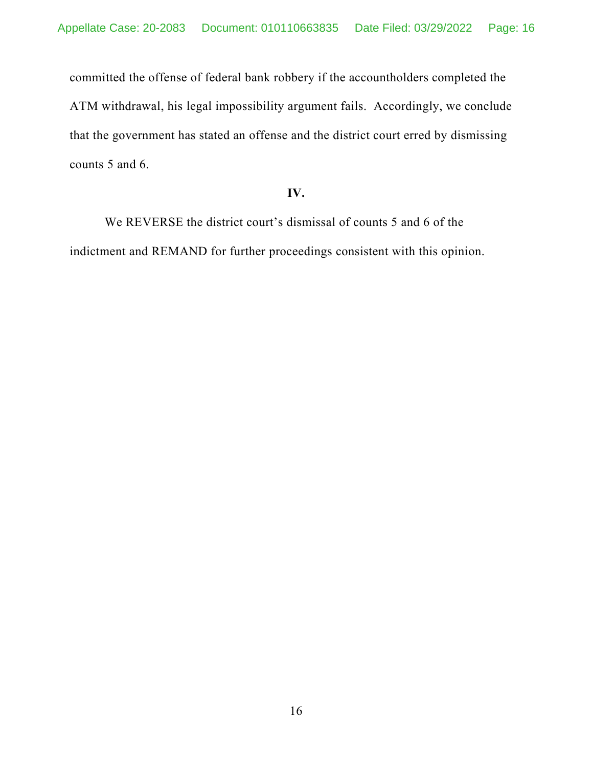committed the offense of federal bank robbery if the accountholders completed the ATM withdrawal, his legal impossibility argument fails. Accordingly, we conclude that the government has stated an offense and the district court erred by dismissing counts 5 and 6.

## **IV.**

We REVERSE the district court's dismissal of counts 5 and 6 of the indictment and REMAND for further proceedings consistent with this opinion.